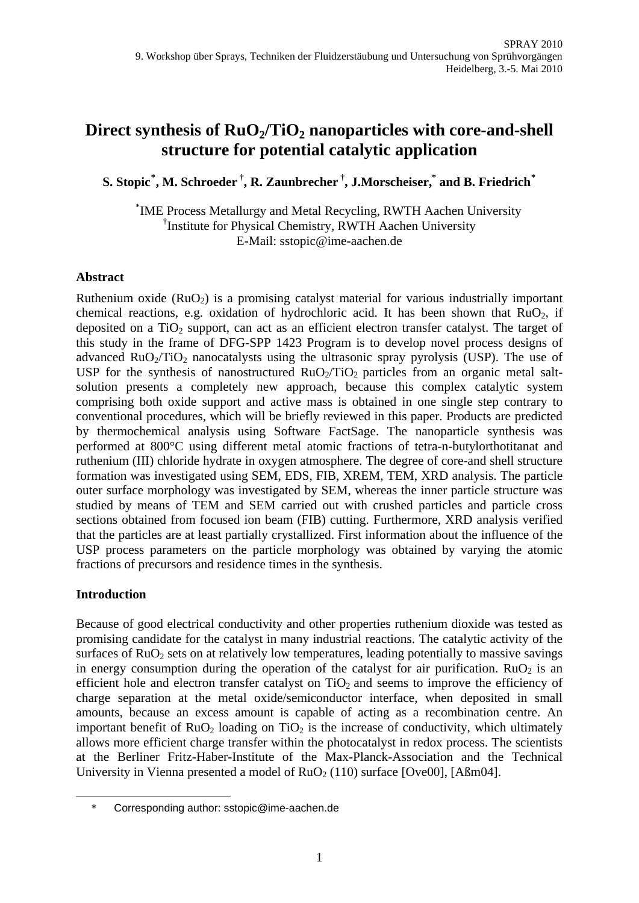# Direct synthesis of  $RuO<sub>2</sub>/TiO<sub>2</sub>$  nanoparticles with core-and-shell **structure for potential catalytic application**

**S. Stopic[\\*](#page-0-0) , M. Schroeder †, R. Zaunbrecher †, J.Morscheiser,\* and B. Friedrich[\\*](#page-0-1)**

\* IME Process Metallurgy and Metal Recycling, RWTH Aachen University † Institute for Physical Chemistry, RWTH Aachen University E-Mail: sstopic@ime-aachen.de

## **Abstract**

Ruthenium oxide  $(RuO<sub>2</sub>)$  is a promising catalyst material for various industrially important chemical reactions, e.g. oxidation of hydrochloric acid. It has been shown that  $RuO<sub>2</sub>$ , if deposited on a TiO<sub>2</sub> support, can act as an efficient electron transfer catalyst. The target of this study in the frame of DFG-SPP 1423 Program is to develop novel process designs of advanced  $RuO<sub>2</sub>/TiO<sub>2</sub>$  nanocatalysts using the ultrasonic spray pyrolysis (USP). The use of USP for the synthesis of nanostructured  $RuO<sub>2</sub>/TiO<sub>2</sub>$  particles from an organic metal saltsolution presents a completely new approach, because this complex catalytic system comprising both oxide support and active mass is obtained in one single step contrary to conventional procedures, which will be briefly reviewed in this paper. Products are predicted by thermochemical analysis using Software FactSage. The nanoparticle synthesis was performed at 800°C using different metal atomic fractions of tetra-n-butylorthotitanat and ruthenium (III) chloride hydrate in oxygen atmosphere. The degree of core-and shell structure formation was investigated using SEM, EDS, FIB, XREM, TEM, XRD analysis. The particle outer surface morphology was investigated by SEM, whereas the inner particle structure was studied by means of TEM and SEM carried out with crushed particles and particle cross sections obtained from focused ion beam (FIB) cutting. Furthermore, XRD analysis verified that the particles are at least partially crystallized. First information about the influence of the USP process parameters on the particle morphology was obtained by varying the atomic fractions of precursors and residence times in the synthesis.

## **Introduction**

<span id="page-0-1"></span><span id="page-0-0"></span><u>.</u>

Because of good electrical conductivity and other properties ruthenium dioxide was tested as promising candidate for the catalyst in many industrial reactions. The catalytic activity of the surfaces of  $RuO<sub>2</sub>$  sets on at relatively low temperatures, leading potentially to massive savings in energy consumption during the operation of the catalyst for air purification.  $RuO<sub>2</sub>$  is an efficient hole and electron transfer catalyst on  $TiO<sub>2</sub>$  and seems to improve the efficiency of charge separation at the metal oxide/semiconductor interface, when deposited in small amounts, because an excess amount is capable of acting as a recombination centre. An important benefit of  $RuO<sub>2</sub>$  loading on TiO<sub>2</sub> is the increase of conductivity, which ultimately allows more efficient charge transfer within the photocatalyst in redox process. The scientists at the Berliner Fritz-Haber-Institute of the Max-Planck-Association and the Technical University in Vienna presented a model of  $RuO<sub>2</sub> (110)$  surface [Ove00], [Aßm04].

<sup>\*</sup> Corresponding author: sstopic@ime-aachen.de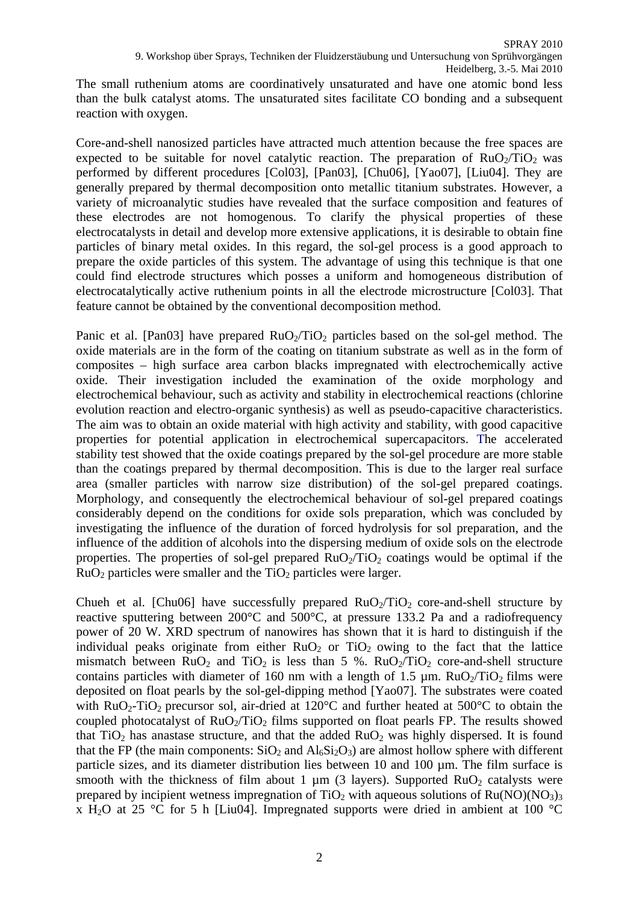The small ruthenium atoms are coordinatively unsaturated and have one atomic bond less than the bulk catalyst atoms. The unsaturated sites facilitate CO bonding and a subsequent reaction with oxygen.

Core-and-shell nanosized particles have attracted much attention because the free spaces are expected to be suitable for novel catalytic reaction. The preparation of  $RuO<sub>2</sub>/TiO<sub>2</sub>$  was performed by different procedures [Col03], [Pan03], [Chu06], [Yao07], [Liu04]. They are generally prepared by thermal decomposition onto metallic titanium substrates. However, a variety of microanalytic studies have revealed that the surface composition and features of these electrodes are not homogenous. To clarify the physical properties of these electrocatalysts in detail and develop more extensive applications, it is desirable to obtain fine particles of binary metal oxides. In this regard, the sol-gel process is a good approach to prepare the oxide particles of this system. The advantage of using this technique is that one could find electrode structures which posses a uniform and homogeneous distribution of electrocatalytically active ruthenium points in all the electrode microstructure [Col03]. That feature cannot be obtained by the conventional decomposition method.

Panic et al. [Pan03] have prepared  $RuO<sub>2</sub>/TiO<sub>2</sub>$  particles based on the sol-gel method. The oxide materials are in the form of the coating on titanium substrate as well as in the form of composites – high surface area carbon blacks impregnated with electrochemically active oxide. Their investigation included the examination of the oxide morphology and electrochemical behaviour, such as activity and stability in electrochemical reactions (chlorine evolution reaction and electro-organic synthesis) as well as pseudo-capacitive characteristics. The aim was to obtain an oxide material with high activity and stability, with good capacitive properties for potential application in electrochemical supercapacitors. The accelerated stability test showed that the oxide coatings [prepared by the sol-gel procedure are more stable](http://www.sciencedirect.com/science?_ob=ArticleURL&_udi=B6TFR-3XK0S17-Y&_user=1480278&_coverDate=10%2F30%2F1999&_rdoc=27&_fmt=summary&_orig=browse&_srch=%23toc%235233%231999%23998429998%23131190%21&_cdi=5233&_sort=d&_docanchor=&wchp=dGLbVlb-lSztA&_acct=C000053038&_version=1&_urlVersion=0&_userid=1480278&md5=7325d498faf221e785c31d6ca63d8309) than the coatings prepared by thermal decomposition. This is due to the larger real surface area (smaller particles with narrow size distribution) of the sol-gel prepared coatings. Morphology, and consequently the electrochemical behaviour of sol-gel prepared coatings considerably depend on the conditions for oxide sols preparation, which was concluded by investigating the influence of the duration of forced hydrolysis for sol preparation, and the influence of the addition of alcohols into the dispersing medium of oxide sols on the electrode properties. The properties of sol-gel prepared  $RuO<sub>2</sub>/TiO<sub>2</sub>$  coatings would be optimal if the  $RuO<sub>2</sub>$  particles were smaller and the TiO<sub>2</sub> particles were larger.

Chueh et al. [Chu06] have successfully prepared  $RuO<sub>2</sub>/TiO<sub>2</sub>$  core-and-shell structure by reactive sputtering between 200°C and 500°C, at pressure 133.2 Pa and a radiofrequency power of 20 W. XRD spectrum of nanowires has shown that it is hard to distinguish if the individual peaks originate from either  $RuO<sub>2</sub>$  or  $TiO<sub>2</sub>$  owing to the fact that the lattice mismatch between RuO<sub>2</sub> and TiO<sub>2</sub> is less than 5 %. RuO<sub>2</sub>/TiO<sub>2</sub> core-and-shell structure contains particles with diameter of 160 nm with a length of 1.5  $\mu$ m. RuO<sub>2</sub>/TiO<sub>2</sub> films were deposited on float pearls by the sol-gel-dipping method [Yao07]. The substrates were coated with  $RuO<sub>2</sub>-TiO<sub>2</sub>$  precursor sol, air-dried at 120 $^{\circ}$ C and further heated at 500 $^{\circ}$ C to obtain the coupled photocatalyst of  $RuO<sub>2</sub>/TiO<sub>2</sub>$  films supported on float pearls FP. The results showed that TiO<sub>2</sub> has anastase structure, and that the added  $RuO<sub>2</sub>$  was highly dispersed. It is found that the FP (the main components:  $SiO_2$  and  $Al_6Si_2O_3$ ) are almost hollow sphere with different particle sizes, and its diameter distribution lies between 10 and 100 µm. The film surface is smooth with the thickness of film about 1  $\mu$ m (3 layers). Supported RuO<sub>2</sub> catalysts were prepared by incipient wetness impregnation of TiO<sub>2</sub> with aqueous solutions of  $Ru(NO)(NO<sub>3</sub>)<sub>3</sub>$ x H<sub>2</sub>O at 25 °C for 5 h [Liu04]. Impregnated supports were dried in ambient at 100 °C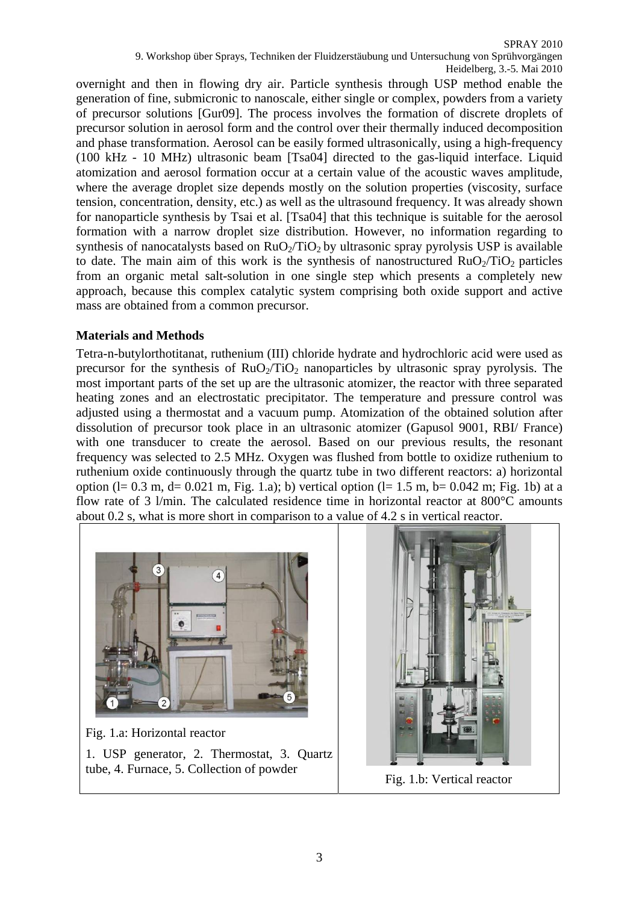overnight and then in flowing dry air. Particle synthesis through USP method enable the generation of fine, submicronic to nanoscale, either single or complex, powders from a variety of precursor solutions [Gur09]. The process involves the formation of discrete droplets of precursor solution in aerosol form and the control over their thermally induced decomposition and phase transformation. Aerosol can be easily formed ultrasonically, using a high-frequency (100 kHz - 10 MHz) ultrasonic beam [Tsa04] directed to the gas-liquid interface. Liquid atomization and aerosol formation occur at a certain value of the acoustic waves amplitude, where the average droplet size depends mostly on the solution properties (viscosity, surface tension, concentration, density, etc.) as well as the ultrasound frequency. It was already shown for nanoparticle synthesis by Tsai et al. [Tsa04] that this technique is suitable for the aerosol formation with a narrow droplet size distribution. However, no information regarding to synthesis of nanocatalysts based on  $RuO<sub>2</sub>/TiO<sub>2</sub>$  by ultrasonic spray pyrolysis USP is available to date. The main aim of this work is the synthesis of nanostructured  $RuO<sub>2</sub>/TiO<sub>2</sub>$  particles from an organic metal salt-solution in one single step which presents a completely new approach, because this complex catalytic system comprising both oxide support and active mass are obtained from a common precursor.

#### **Materials and Methods**

Tetra-n-butylorthotitanat, ruthenium (III) chloride hydrate and hydrochloric acid were used as precursor for the synthesis of  $RuO<sub>2</sub>/TiO<sub>2</sub>$  nanoparticles by ultrasonic spray pyrolysis. The most important parts of the set up are the ultrasonic atomizer, the reactor with three separated heating zones and an electrostatic precipitator. The temperature and pressure control was adjusted using a thermostat and a vacuum pump. Atomization of the obtained solution after dissolution of precursor took place in an ultrasonic atomizer (Gapusol 9001, RBI/ France) with one transducer to create the aerosol. Based on our previous results, the resonant frequency was selected to 2.5 MHz. Oxygen was flushed from bottle to oxidize ruthenium to ruthenium oxide continuously through the quartz tube in two different reactors: a) horizontal option (l= 0.3 m, d= 0.021 m, Fig. 1.a); b) vertical option (l= 1.5 m, b= 0.042 m; Fig. 1b) at a flow rate of 3 l/min. The calculated residence time in horizontal reactor at 800°C amounts about 0.2 s, what is more short in comparison to a value of 4.2 s in vertical reactor.



Fig. 1.a: Horizontal reactor 1. USP generator, 2. Thermostat, 3. Quartz tube, 4. Furnace, 5. Collection of powder Fig. 1.b: Vertical reactor

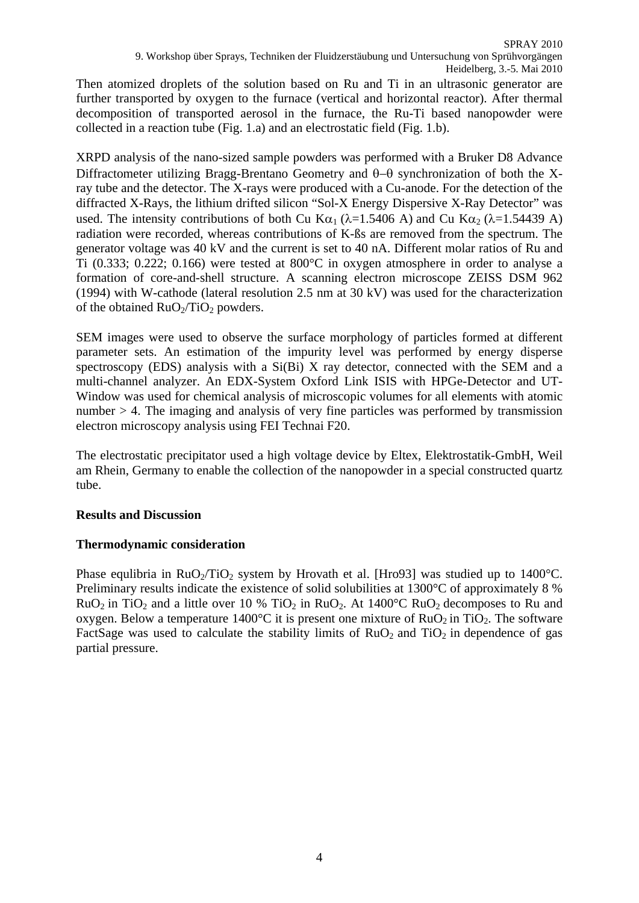Then atomized droplets of the solution based on Ru and Ti in an ultrasonic generator are further transported by oxygen to the furnace (vertical and horizontal reactor). After thermal decomposition of transported aerosol in the furnace, the Ru-Ti based nanopowder were collected in a reaction tube (Fig. 1.a) and an electrostatic field (Fig. 1.b).

XRPD analysis of the nano-sized sample powders was performed with a Bruker D8 Advance Diffractometer utilizing Bragg-Brentano Geometry and θ−θ synchronization of both the Xray tube and the detector. The X-rays were produced with a Cu-anode. For the detection of the diffracted X-Rays, the lithium drifted silicon "Sol-X Energy Dispersive X-Ray Detector" was used. The intensity contributions of both Cu K $\alpha_1$  ( $\lambda$ =1.5406 A) and Cu K $\alpha_2$  ( $\lambda$ =1.54439 A) radiation were recorded, whereas contributions of K-ßs are removed from the spectrum. The generator voltage was 40 kV and the current is set to 40 nA. Different molar ratios of Ru and Ti (0.333; 0.222; 0.166) were tested at 800°C in oxygen atmosphere in order to analyse a formation of core-and-shell structure. A scanning electron microscope ZEISS DSM 962 (1994) with W-cathode (lateral resolution 2.5 nm at 30 kV) was used for the characterization of the obtained  $RuO<sub>2</sub>/TiO<sub>2</sub>$  powders.

SEM images were used to observe the surface morphology of particles formed at different parameter sets. An estimation of the impurity level was performed by energy disperse spectroscopy (EDS) analysis with a Si(Bi) X ray detector, connected with the SEM and a multi-channel analyzer. An EDX-System Oxford Link ISIS with HPGe-Detector and UT-Window was used for chemical analysis of microscopic volumes for all elements with atomic number > 4. The imaging and analysis of very fine particles was performed by transmission electron microscopy analysis using FEI Technai F20.

The electrostatic precipitator used a high voltage device by Eltex, Elektrostatik-GmbH, Weil am Rhein, Germany to enable the collection of the nanopowder in a special constructed quartz tube.

### **Results and Discussion**

## **Thermodynamic consideration**

Phase equlibria in RuO<sub>2</sub>/TiO<sub>2</sub> system by Hrovath et al. [Hro93] was studied up to 1400<sup>o</sup>C. Preliminary results indicate the existence of solid solubilities at 1300°C of approximately 8 %  $RuO<sub>2</sub>$  in TiO<sub>2</sub> and a little over 10 % TiO<sub>2</sub> in RuO<sub>2</sub>. At 1400<sup>o</sup>C RuO<sub>2</sub> decomposes to Ru and oxygen. Below a temperature 1400 $^{\circ}$ C it is present one mixture of RuO<sub>2</sub> in TiO<sub>2</sub>. The software FactSage was used to calculate the stability limits of  $RuO<sub>2</sub>$  and  $TiO<sub>2</sub>$  in dependence of gas partial pressure.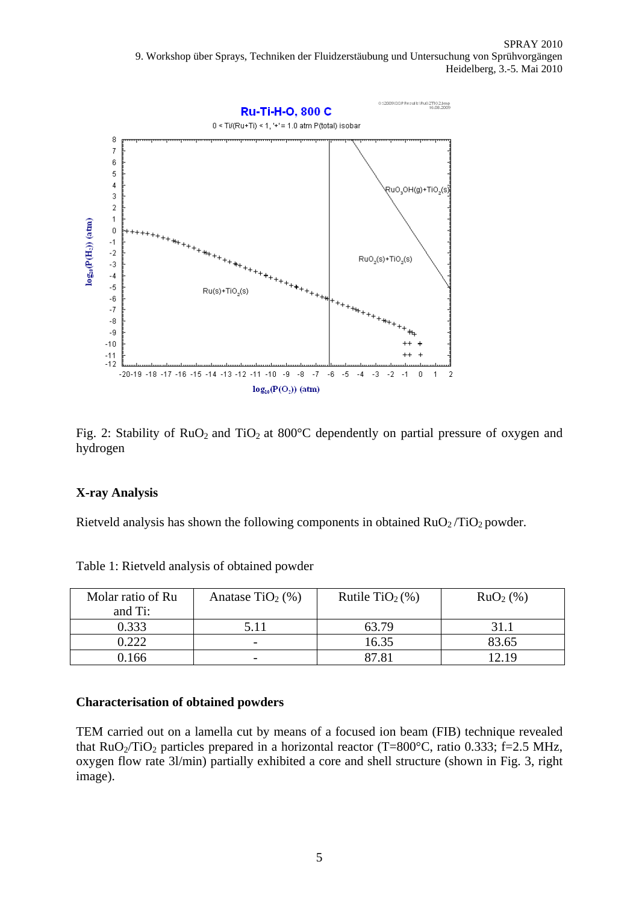

Fig. 2: Stability of  $RuO<sub>2</sub>$  and TiO<sub>2</sub> at 800°C dependently on partial pressure of oxygen and hydrogen

### **X-ray Analysis**

Rietveld analysis has shown the following components in obtained  $RuO<sub>2</sub>/TiO<sub>2</sub>$  powder.

| Molar ratio of Ru | Anatase TiO <sub>2</sub> $(\% )$ | Rutile TiO <sub>2</sub> $(\%)$ | $RuO2(\%)$ |
|-------------------|----------------------------------|--------------------------------|------------|
| and Ti:           |                                  |                                |            |
| 0.333             | 5.11                             | 63.79                          | 31.1       |
| 0.222             | -                                | 16.35                          | 83.65      |
| 0.166             | -                                |                                | 2.19       |

Table 1: Rietveld analysis of obtained powder

#### **Characterisation of obtained powders**

TEM carried out on a lamella cut by means of a focused ion beam (FIB) technique revealed that  $RuO<sub>2</sub>/TiO<sub>2</sub>$  particles prepared in a horizontal reactor (T=800 $^{\circ}$ C, ratio 0.333; f=2.5 MHz, oxygen flow rate 3l/min) partially exhibited a core and shell structure (shown in Fig. 3, right image).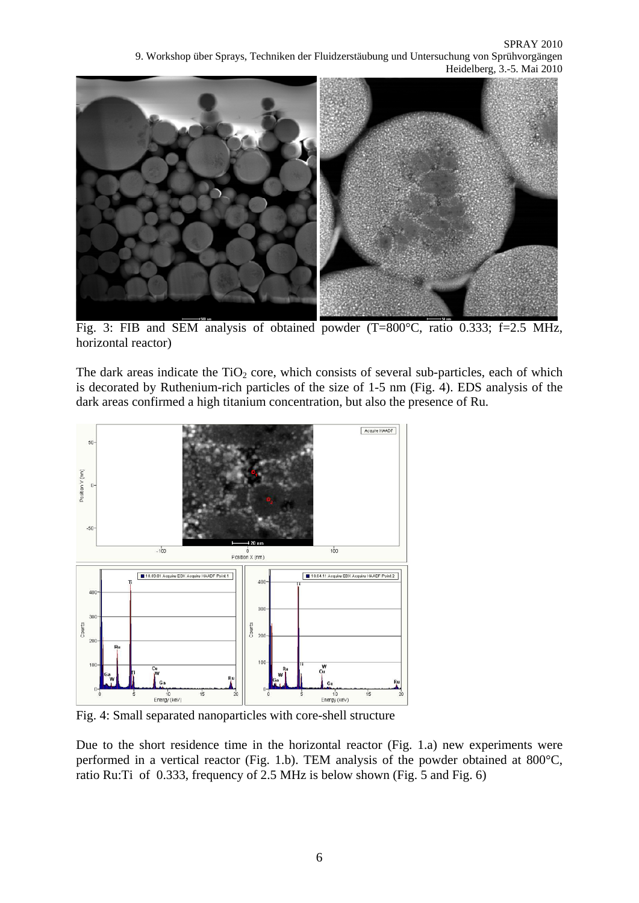SPRAY 2010 9. Workshop über Sprays, Techniken der Fluidzerstäubung und Untersuchung von Sprühvorgängen Heidelberg, 3.-5. Mai 2010



Fig. 3: FIB and SEM analysis of obtained powder (T=800°C, ratio 0.333; f=2.5 MHz, horizontal reactor)

The dark areas indicate the  $TiO<sub>2</sub>$  core, which consists of several sub-particles, each of which is decorated by Ruthenium-rich particles of the size of 1-5 nm (Fig. 4). EDS analysis of the dark areas confirmed a high titanium concentration, but also the presence of Ru.



Fig. 4: Small separated nanoparticles with core-shell structure

Due to the short residence time in the horizontal reactor (Fig. 1.a) new experiments were performed in a vertical reactor (Fig. 1.b). TEM analysis of the powder obtained at 800°C, ratio Ru:Ti of 0.333, frequency of 2.5 MHz is below shown (Fig. 5 and Fig. 6)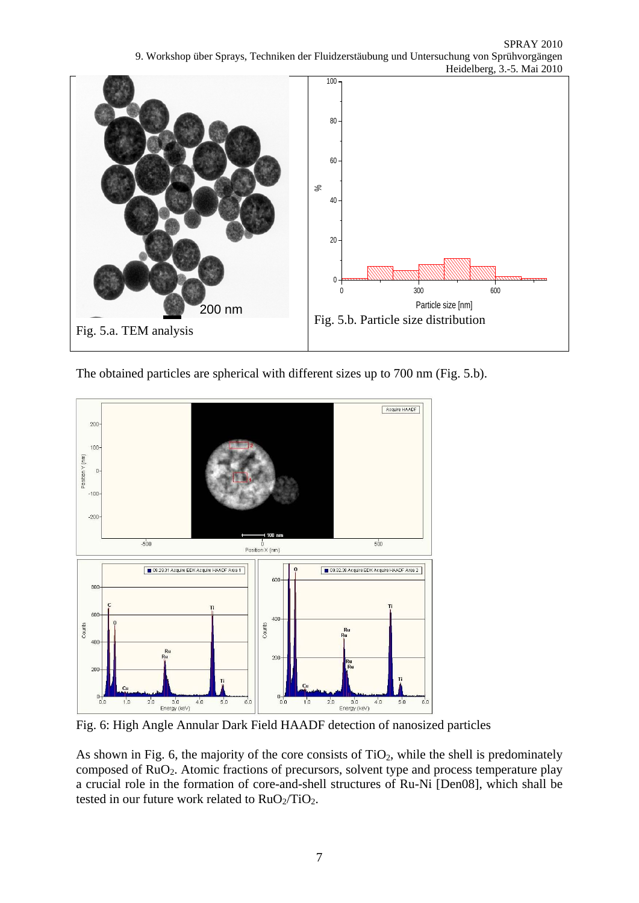SPRAY 2010 9. Workshop über Sprays, Techniken der Fluidzerstäubung und Untersuchung von Sprühvorgängen Heidelberg, 3.-5. Mai 2010



The obtained particles are spherical with different sizes up to 700 nm (Fig. 5.b).



Fig. 6: High Angle Annular Dark Field HAADF detection of nanosized particles

As shown in Fig. 6, the majority of the core consists of  $TiO<sub>2</sub>$ , while the shell is predominately composed of RuO2. Atomic fractions of precursors, solvent type and process temperature play a crucial role in the formation of core-and-shell structures of Ru-Ni [Den08], which shall be tested in our future work related to  $RuO<sub>2</sub>/TiO<sub>2</sub>$ .